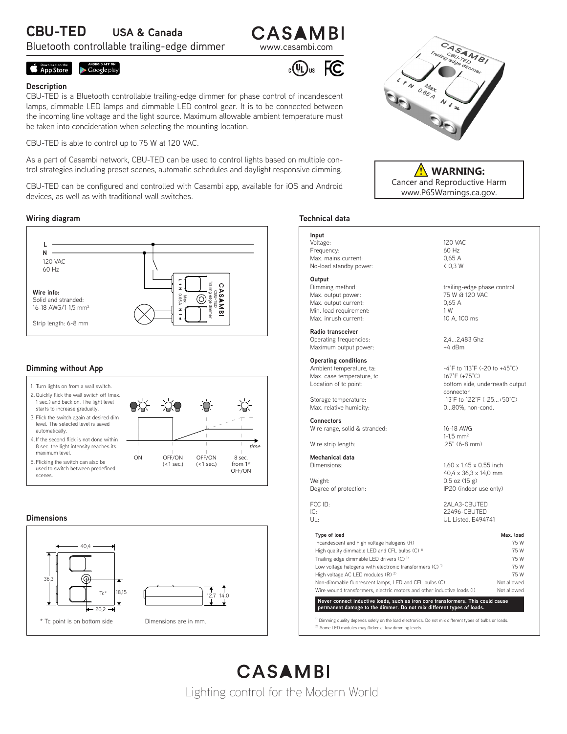# **CBU-TED USA & Canada**

Bluetooth controllable trailing-edge dimmer www.casambi.com

# CASAMBI

 $_{c}(\Psi _{\text{L}})_{\text{us}}$ 

# **Example 3 App Store** ANDROID APP ON

#### **Description**

CBU-TED is a Bluetooth controllable trailing-edge dimmer for phase control of incandescent lamps, dimmable LED lamps and dimmable LED control gear. It is to be connected between the incoming line voltage and the light source. Maximum allowable ambient temperature must be taken into concideration when selecting the mounting location.

CBU-TED is able to control up to 75 W at 120 VAC.

As a part of Casambi network, CBU-TED can be used to control lights based on multiple control strategies including preset scenes, automatic schedules and daylight responsive dimming.

CBU-TED can be configured and controlled with Casambi app, available for iOS and Android devices, as well as with traditional wall switches.

#### **Wiring diagram**



# **Dimming without App**



#### **Dimensions**





Cancer and Reproductive Harm www.P65Warnings.ca.gov. **! WARNING:**

### **Technical data**

FC.

**Input** Voltage: 120 VAC Frequency: 60 Hz Max. mains current: 0,65 A No-load standby power: < 0,3 W

**Output**<br>Dimming method: Max. output power:  $75 W @ 120 VAC$ Max. output current: 0,65 A<br>
Min. load requirement: 0,65 A Min. load requirement: 1 W<br>
Max. inrush current: 1 0 A. 100 ms Max. inrush current:

**Radio transceiver** Operating frequencies: 2,4...2,483 Ghz<br>
Maximum output power: +4 dBm Maximum output power:

**Operating conditions** Max. case temperature, tc:

**Connectors** Wire range, solid & stranded: 16-18 AWG

Wire strip length:

**Mechanical data**

trailing-edge phase control

Ambient temperature, ta:  $-4^{\circ}F$  to 113°F (-20 to +45°C)<br>Max. case temperature, tc:  $167^{\circ}F$  (+75°C) Location of tc point: bottom side, underneath output connector Storage temperature:  $-13^{\circ}F$  to  $12^{\circ}F$  (-25...+50 $^{\circ}C$ )<br>Max. relative humidity:  $0..80\%$ . non-cond. 0...80%, non-cond.

 $1-1,5$  mm<sup>2</sup><br> $.25$ " (6-8 mm)

1.60 x 1.45 x 0.55 inch 40,4 x 36,3 x 14,0 mm<br>
Weight: 0.5 oz (15 g)  $0.5$  oz (15 g) Degree of protection: IP20 (indoor use only)

FCC ID: 2ALA3-CBUTED IC: 22496-CBUTED UL Listed, E494741

| Incandescent and high voltage halogens (R)                                                                                                              | 75 W<br>75 W<br>75 W<br>75 W<br>75 W |
|---------------------------------------------------------------------------------------------------------------------------------------------------------|--------------------------------------|
| High quality dimmable LED and CFL bulbs (C) <sup>1)</sup>                                                                                               |                                      |
| Trailing edge dimmable LED drivers (C) <sup>1)</sup><br>Low voltage halogens with electronic transformers (C) <sup>1)</sup>                             |                                      |
|                                                                                                                                                         |                                      |
| High voltage AC LED modules (R) <sup>2)</sup>                                                                                                           |                                      |
|                                                                                                                                                         |                                      |
| Non-dimmable fluorescent lamps, LED and CFL bulbs (C)                                                                                                   | Not allowed                          |
| Wire wound transformers, electric motors and other inductive loads (I)                                                                                  | Not allowed                          |
| Never connect inductive loads, such as iron core transformers. This could cause<br>permanent damage to the dimmer. Do not mix different types of loads. |                                      |

CASAMBI Lighting control for the Modern World